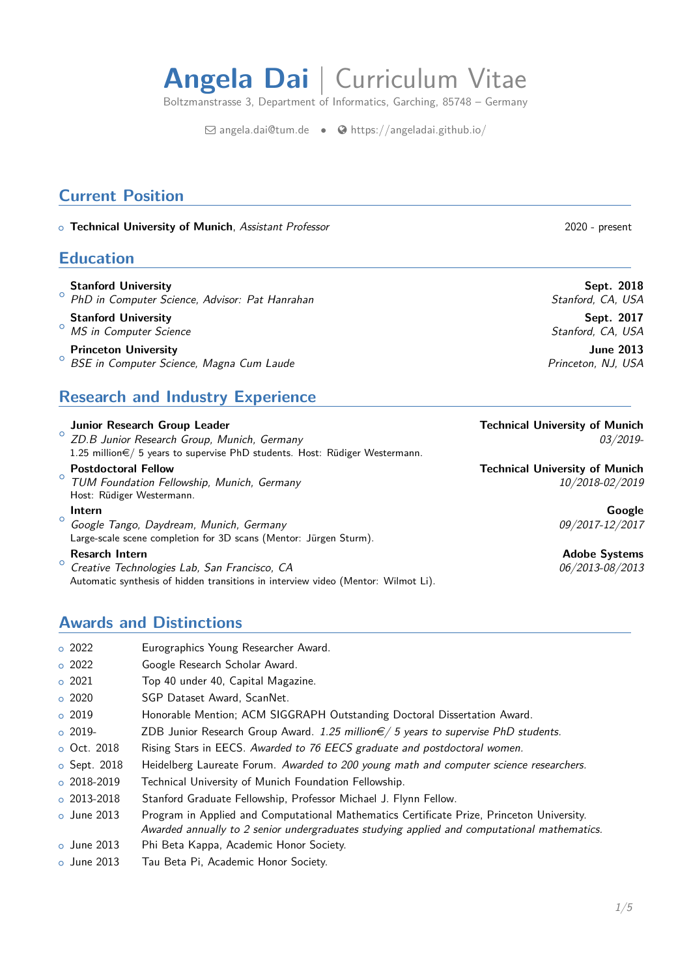# **Angela Dai** | Curriculum Vitae

Boltzmanstrasse 3, Department of Informatics, Garching, 85748 – Germany

 $\boxdot$  [angela.dai@tum.de](mailto:angela.dai@tum.de) •  $\bigcirc$  [https://angeladai.github.io/](http://https://angeladai.github.io/)

### **Current Position**

o Technical University of Munich, Assistant Professor 2020 - present

### **Education**

- $\circ$ **Stanford University Sept. 2018** PhD in Computer Science, Advisor: Pat Hanrahan Stanford, CA, USA
- $\circ$ **Stanford University Sept. 2017** MS in Computer Science Stanford, CA, USA

### $\circ$ **Princeton University June 2013**

BSE in Computer Science, Magna Cum Laude **Princeton, NJ, USA** 

### **Research and Industry Experience**

 $\circ$ **Junior Research Group Leader Technical University of Munich** ZD.B Junior Research Group, Munich, Germany 03/2019- 1.25 million €/ 5 years to supervise PhD students. Host: Rüdiger Westermann.

#### $\circ$ **Postdoctoral Fellow Technical University of Munich** TUM Foundation Fellowship, Munich, Germany 10/2018-02/2019 Host: Rüdiger Westermann.

 $\circ$ **Intern Google** Google Tango, Daydream, Munich, Germany 09/2017-12/2017 Large-scale scene completion for 3D scans (Mentor: Jürgen Sturm).

### $\circ$

Creative Technologies Lab, San Francisco, CA 06/2013-08/2013-08/2013 Automatic synthesis of hidden transitions in interview video (Mentor: Wilmot Li).

## **Resarch Intern Adobe Systems**

### **Awards and Distinctions**

| $\circ$ 2022       | Eurographics Young Researcher Award.                                                                                                                                                     |
|--------------------|------------------------------------------------------------------------------------------------------------------------------------------------------------------------------------------|
| $\circ$ 2022       | Google Research Scholar Award.                                                                                                                                                           |
| $\circ$ 2021       | Top 40 under 40, Capital Magazine.                                                                                                                                                       |
| $\circ$ 2020       | SGP Dataset Award, ScanNet.                                                                                                                                                              |
| $\circ$ 2019       | Honorable Mention; ACM SIGGRAPH Outstanding Doctoral Dissertation Award.                                                                                                                 |
| $\circ$ 2019-      | ZDB Junior Research Group Award. 1.25 million $\epsilon/5$ years to supervise PhD students.                                                                                              |
| $\circ$ Oct. 2018  | Rising Stars in EECS. Awarded to 76 EECS graduate and postdoctoral women.                                                                                                                |
| $\circ$ Sept. 2018 | Heidelberg Laureate Forum. Awarded to 200 young math and computer science researchers.                                                                                                   |
| $\circ$ 2018-2019  | Technical University of Munich Foundation Fellowship.                                                                                                                                    |
| $\circ$ 2013-2018  | Stanford Graduate Fellowship, Professor Michael J. Flynn Fellow.                                                                                                                         |
| $\circ$ June 2013  | Program in Applied and Computational Mathematics Certificate Prize, Princeton University.<br>Awarded annually to 2 senior undergraduates studying applied and computational mathematics. |
| $\circ$ June 2013  | Phi Beta Kappa, Academic Honor Society.                                                                                                                                                  |
| $\circ$ June 2013  | Tau Beta Pi. Academic Honor Society.                                                                                                                                                     |

1[/5](#page-3-0)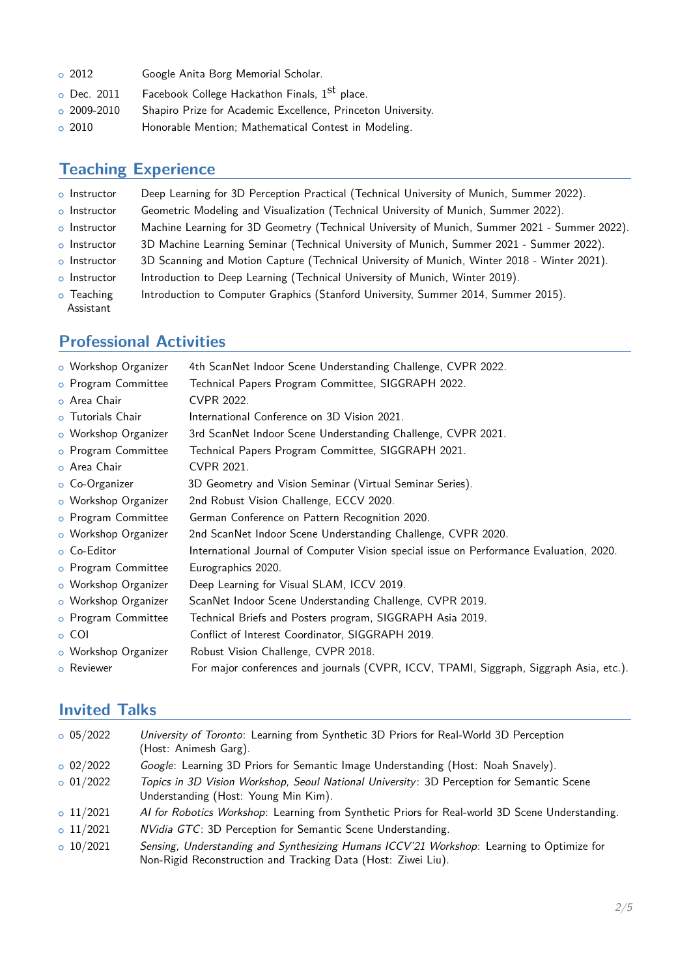| $\circ$ 2012      | Google Anita Borg Memorial Scholar.                          |
|-------------------|--------------------------------------------------------------|
| o Dec. 2011       | Facebook College Hackathon Finals, 1 <sup>St</sup> place.    |
| $\circ$ 2009-2010 | Shapiro Prize for Academic Excellence, Princeton University. |
| $\circ$ 2010      | Honorable Mention; Mathematical Contest in Modeling.         |

### **Teaching Experience**

- o Instructor Deep Learning for 3D Perception Practical (Technical University of Munich, Summer 2022).
- o Instructor Geometric Modeling and Visualization (Technical University of Munich, Summer 2022).
- o Instructor Machine Learning for 3D Geometry (Technical University of Munich, Summer 2021 Summer 2022).
- o Instructor 3D Machine Learning Seminar (Technical University of Munich, Summer 2021 Summer 2022).
- o Instructor 3D Scanning and Motion Capture (Technical University of Munich, Winter 2018 Winter 2021).
- o Instructor Introduction to Deep Learning (Technical University of Munich, Winter 2019).
- o Teaching Introduction to Computer Graphics (Stanford University, Summer 2014, Summer 2015). Assistant

### **Professional Activities**

| o Workshop Organizer | 4th ScanNet Indoor Scene Understanding Challenge, CVPR 2022.                            |
|----------------------|-----------------------------------------------------------------------------------------|
| o Program Committee  | Technical Papers Program Committee, SIGGRAPH 2022.                                      |
| o Area Chair         | <b>CVPR 2022.</b>                                                                       |
| o Tutorials Chair    | International Conference on 3D Vision 2021.                                             |
| o Workshop Organizer | 3rd ScanNet Indoor Scene Understanding Challenge, CVPR 2021.                            |
| o Program Committee  | Technical Papers Program Committee, SIGGRAPH 2021.                                      |
| o Area Chair         | CVPR 2021.                                                                              |
| o Co-Organizer       | 3D Geometry and Vision Seminar (Virtual Seminar Series).                                |
| o Workshop Organizer | 2nd Robust Vision Challenge, ECCV 2020.                                                 |
| o Program Committee  | German Conference on Pattern Recognition 2020.                                          |
| o Workshop Organizer | 2nd ScanNet Indoor Scene Understanding Challenge, CVPR 2020.                            |
| o Co-Editor          | International Journal of Computer Vision special issue on Performance Evaluation, 2020. |
| o Program Committee  | Eurographics 2020.                                                                      |
| o Workshop Organizer | Deep Learning for Visual SLAM, ICCV 2019.                                               |
| o Workshop Organizer | ScanNet Indoor Scene Understanding Challenge, CVPR 2019.                                |
| o Program Committee  | Technical Briefs and Posters program, SIGGRAPH Asia 2019.                               |
| $\circ$ COI          | Conflict of Interest Coordinator, SIGGRAPH 2019.                                        |
| o Workshop Organizer | Robust Vision Challenge, CVPR 2018.                                                     |
| o Reviewer           | For major conferences and journals (CVPR, ICCV, TPAMI, Siggraph, Siggraph Asia, etc.).  |

### **Invited Talks**

| $o$ 05/2022     | University of Toronto: Learning from Synthetic 3D Priors for Real-World 3D Perception<br>(Host: Animesh Garg).                                             |
|-----------------|------------------------------------------------------------------------------------------------------------------------------------------------------------|
| $\circ$ 02/2022 | Google: Learning 3D Priors for Semantic Image Understanding (Host: Noah Snavely).                                                                          |
| $\circ$ 01/2022 | Topics in 3D Vision Workshop, Seoul National University: 3D Perception for Semantic Scene<br>Understanding (Host: Young Min Kim).                          |
| $\circ$ 11/2021 | Al for Robotics Workshop: Learning from Synthetic Priors for Real-world 3D Scene Understanding.                                                            |
| $\circ$ 11/2021 | NVidia GTC: 3D Perception for Semantic Scene Understanding.                                                                                                |
| $\circ$ 10/2021 | Sensing, Understanding and Synthesizing Humans ICCV'21 Workshop: Learning to Optimize for<br>Non-Rigid Reconstruction and Tracking Data (Host: Ziwei Liu). |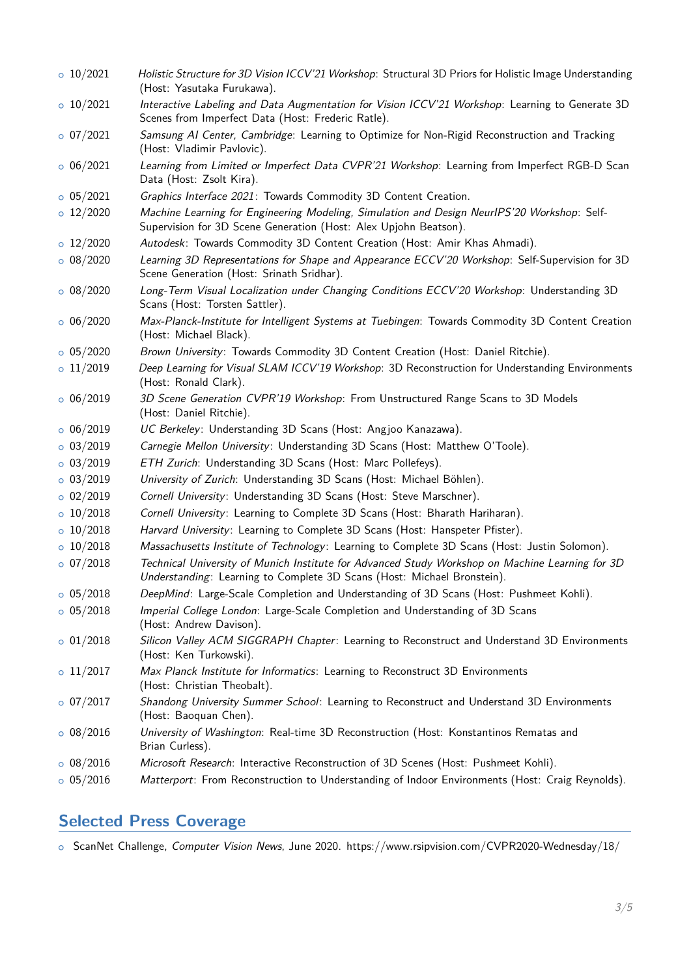| 0.10/2021       | Holistic Structure for 3D Vision ICCV'21 Workshop: Structural 3D Priors for Holistic Image Understanding<br>(Host: Yasutaka Furukawa).                                     |
|-----------------|----------------------------------------------------------------------------------------------------------------------------------------------------------------------------|
| $\circ$ 10/2021 | Interactive Labeling and Data Augmentation for Vision ICCV'21 Workshop: Learning to Generate 3D<br>Scenes from Imperfect Data (Host: Frederic Ratle).                      |
| $o$ 07/2021     | Samsung AI Center, Cambridge: Learning to Optimize for Non-Rigid Reconstruction and Tracking<br>(Host: Vladimir Pavlovic).                                                 |
| 0.06/2021       | Learning from Limited or Imperfect Data CVPR'21 Workshop: Learning from Imperfect RGB-D Scan<br>Data (Host: Zsolt Kira).                                                   |
| $o$ 05/2021     | Graphics Interface 2021: Towards Commodity 3D Content Creation.                                                                                                            |
| 0 12/2020       | Machine Learning for Engineering Modeling, Simulation and Design NeurlPS'20 Workshop: Self-<br>Supervision for 3D Scene Generation (Host: Alex Upjohn Beatson).            |
| $\circ$ 12/2020 | Autodesk: Towards Commodity 3D Content Creation (Host: Amir Khas Ahmadi).                                                                                                  |
| $o$ 08/2020     | Learning 3D Representations for Shape and Appearance ECCV'20 Workshop: Self-Supervision for 3D<br>Scene Generation (Host: Srinath Sridhar).                                |
| $\circ$ 08/2020 | Long-Term Visual Localization under Changing Conditions ECCV'20 Workshop: Understanding 3D<br>Scans (Host: Torsten Sattler).                                               |
| $\circ$ 06/2020 | Max-Planck-Institute for Intelligent Systems at Tuebingen: Towards Commodity 3D Content Creation<br>(Host: Michael Black).                                                 |
| $o$ 05/2020     | Brown University: Towards Commodity 3D Content Creation (Host: Daniel Ritchie).                                                                                            |
| 0 11/2019       | Deep Learning for Visual SLAM ICCV'19 Workshop: 3D Reconstruction for Understanding Environments<br>(Host: Ronald Clark).                                                  |
| 0.06/2019       | 3D Scene Generation CVPR'19 Workshop: From Unstructured Range Scans to 3D Models<br>(Host: Daniel Ritchie).                                                                |
| $\circ$ 06/2019 | UC Berkeley: Understanding 3D Scans (Host: Angjoo Kanazawa).                                                                                                               |
| 0.03/2019       | Carnegie Mellon University: Understanding 3D Scans (Host: Matthew O'Toole).                                                                                                |
| 0.03/2019       | ETH Zurich: Understanding 3D Scans (Host: Marc Pollefeys).                                                                                                                 |
| $o$ 03/2019     | University of Zurich: Understanding 3D Scans (Host: Michael Böhlen).                                                                                                       |
| $o$ 02/2019     | Cornell University: Understanding 3D Scans (Host: Steve Marschner).                                                                                                        |
| 0.10/2018       | Cornell University: Learning to Complete 3D Scans (Host: Bharath Hariharan).                                                                                               |
| 0.10/2018       | Harvard University: Learning to Complete 3D Scans (Host: Hanspeter Pfister).                                                                                               |
| 0.10/2018       | Massachusetts Institute of Technology: Learning to Complete 3D Scans (Host: Justin Solomon).                                                                               |
| 0.07/2018       | Technical University of Munich Institute for Advanced Study Workshop on Machine Learning for 3D<br>Understanding: Learning to Complete 3D Scans (Host: Michael Bronstein). |
| $o$ 05/2018     | DeepMind: Large-Scale Completion and Understanding of 3D Scans (Host: Pushmeet Kohli).                                                                                     |
| $o$ 05/2018     | Imperial College London: Large-Scale Completion and Understanding of 3D Scans<br>(Host: Andrew Davison).                                                                   |
| $o$ 01/2018     | Silicon Valley ACM SIGGRAPH Chapter: Learning to Reconstruct and Understand 3D Environments<br>(Host: Ken Turkowski).                                                      |
| $\circ$ 11/2017 | Max Planck Institute for Informatics: Learning to Reconstruct 3D Environments<br>(Host: Christian Theobalt).                                                               |
| $\circ$ 07/2017 | Shandong University Summer School: Learning to Reconstruct and Understand 3D Environments<br>(Host: Baoquan Chen).                                                         |
| $o$ 08/2016     | University of Washington: Real-time 3D Reconstruction (Host: Konstantinos Rematas and<br>Brian Curless).                                                                   |
| $o$ 08/2016     | Microsoft Research: Interactive Reconstruction of 3D Scenes (Host: Pushmeet Kohli).                                                                                        |
| $o$ 05/2016     | Matterport: From Reconstruction to Understanding of Indoor Environments (Host: Craig Reynolds).                                                                            |

## **Selected Press Coverage**

o ScanNet Challenge, Computer Vision News, June 2020. https://www.rsipvision.com/CVPR2020-Wednesday/18/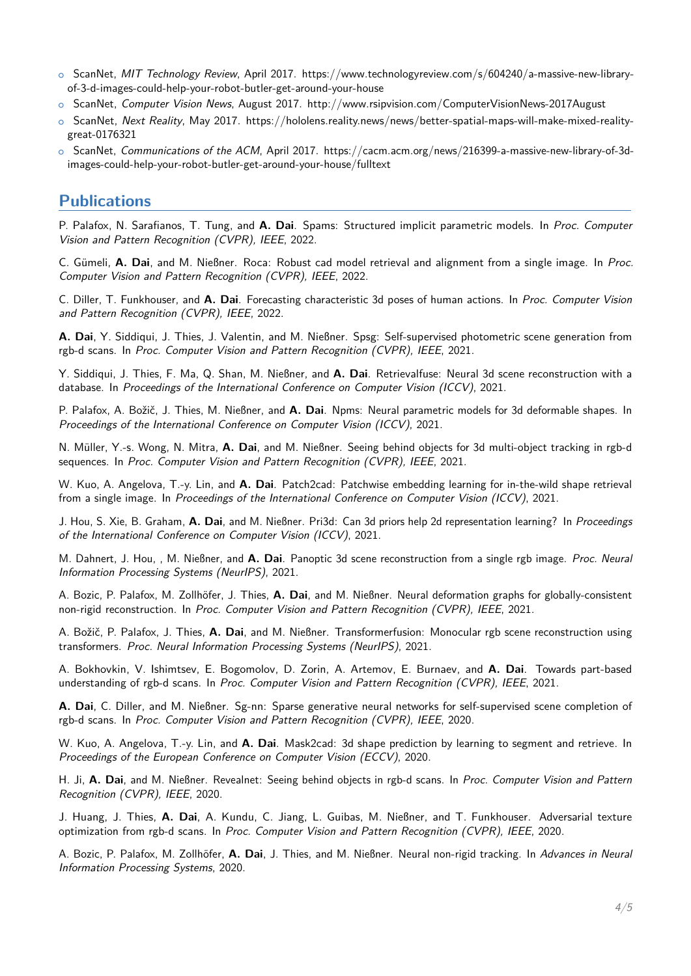- ScanNet, MIT Technology Review, April 2017. https://www.technologyreview.com/s/604240/a-massive-new-libraryof-3-d-images-could-help-your-robot-butler-get-around-your-house
- o ScanNet, Computer Vision News, August 2017. http://www.rsipvision.com/ComputerVisionNews-2017August
- o ScanNet, Next Reality, May 2017. https://hololens.reality.news/news/better-spatial-maps-will-make-mixed-realitygreat-0176321
- o ScanNet, Communications of the ACM, April 2017. https://cacm.acm.org/news/216399-a-massive-new-library-of-3dimages-could-help-your-robot-butler-get-around-your-house/fulltext

### <span id="page-3-0"></span>**Publications**

P. Palafox, N. Sarafianos, T. Tung, and **A. Dai**. Spams: Structured implicit parametric models. In Proc. Computer Vision and Pattern Recognition (CVPR), IEEE, 2022.

C. Gümeli, **A. Dai**, and M. Nießner. Roca: Robust cad model retrieval and alignment from a single image. In Proc. Computer Vision and Pattern Recognition (CVPR), IEEE, 2022.

C. Diller, T. Funkhouser, and **A. Dai**. Forecasting characteristic 3d poses of human actions. In Proc. Computer Vision and Pattern Recognition (CVPR), IEEE, 2022.

**A. Dai**, Y. Siddiqui, J. Thies, J. Valentin, and M. Nießner. Spsg: Self-supervised photometric scene generation from rgb-d scans. In Proc. Computer Vision and Pattern Recognition (CVPR), IEEE, 2021.

Y. Siddiqui, J. Thies, F. Ma, Q. Shan, M. Nießner, and **A. Dai**. Retrievalfuse: Neural 3d scene reconstruction with a database. In Proceedings of the International Conference on Computer Vision (ICCV), 2021.

P. Palafox, A. Božič, J. Thies, M. Nießner, and **A. Dai**. Npms: Neural parametric models for 3d deformable shapes. In Proceedings of the International Conference on Computer Vision (ICCV), 2021.

N. Müller, Y.-s. Wong, N. Mitra, **A. Dai**, and M. Nießner. Seeing behind objects for 3d multi-object tracking in rgb-d sequences. In Proc. Computer Vision and Pattern Recognition (CVPR), IEEE, 2021.

W. Kuo, A. Angelova, T.-y. Lin, and **A. Dai**. Patch2cad: Patchwise embedding learning for in-the-wild shape retrieval from a single image. In Proceedings of the International Conference on Computer Vision (ICCV), 2021.

J. Hou, S. Xie, B. Graham, **A. Dai**, and M. Nießner. Pri3d: Can 3d priors help 2d representation learning? In Proceedings of the International Conference on Computer Vision (ICCV), 2021.

M. Dahnert, J. Hou, , M. Nießner, and **A. Dai**. Panoptic 3d scene reconstruction from a single rgb image. Proc. Neural Information Processing Systems (NeurIPS), 2021.

A. Bozic, P. Palafox, M. Zollhöfer, J. Thies, **A. Dai**, and M. Nießner. Neural deformation graphs for globally-consistent non-rigid reconstruction. In Proc. Computer Vision and Pattern Recognition (CVPR), IEEE, 2021.

A. Božič, P. Palafox, J. Thies, **A. Dai**, and M. Nießner. Transformerfusion: Monocular rgb scene reconstruction using transformers. Proc. Neural Information Processing Systems (NeurIPS), 2021.

A. Bokhovkin, V. Ishimtsev, E. Bogomolov, D. Zorin, A. Artemov, E. Burnaev, and **A. Dai**. Towards part-based understanding of rgb-d scans. In Proc. Computer Vision and Pattern Recognition (CVPR), IEEE, 2021.

**A. Dai**, C. Diller, and M. Nießner. Sg-nn: Sparse generative neural networks for self-supervised scene completion of rgb-d scans. In Proc. Computer Vision and Pattern Recognition (CVPR), IEEE, 2020.

W. Kuo, A. Angelova, T.-y. Lin, and **A. Dai**. Mask2cad: 3d shape prediction by learning to segment and retrieve. In Proceedings of the European Conference on Computer Vision (ECCV), 2020.

H. Ji, **A. Dai**, and M. Nießner. Revealnet: Seeing behind objects in rgb-d scans. In Proc. Computer Vision and Pattern Recognition (CVPR), IEEE, 2020.

J. Huang, J. Thies, **A. Dai**, A. Kundu, C. Jiang, L. Guibas, M. Nießner, and T. Funkhouser. Adversarial texture optimization from rgb-d scans. In Proc. Computer Vision and Pattern Recognition (CVPR), IEEE, 2020.

A. Bozic, P. Palafox, M. Zollhöfer, **A. Dai**, J. Thies, and M. Nießner. Neural non-rigid tracking. In Advances in Neural Information Processing Systems, 2020.